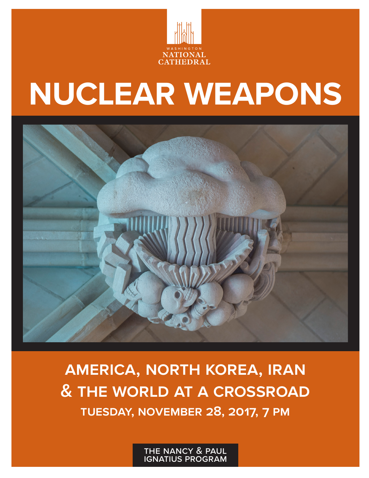

# **NUCLEAR WEAPONS**



**america, north korea, iran & the world at a crossroad tuesday, november 28, 2017, 7 pm**

> the nancy & paul ignatius program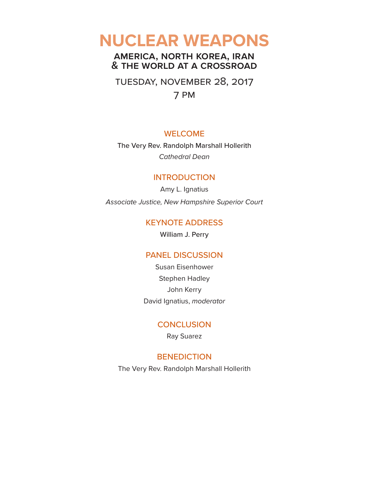# **NUCLEAR WEAPONS**

#### **america, north korea, iran & the world at a crossroad**

tuesday, november 28, 2017

7 pm

#### WELCOME

The Very Rev. Randolph Marshall Hollerith *Cathedral Dean*

#### INTRODUCTION

Amy L. Ignatius *Associate Justice, New Hampshire Superior Court*

#### KEYNOTE ADDRESS

William J. Perry

#### PANEL DISCUSSION

Susan Eisenhower Stephen Hadley John Kerry David Ignatius, *moderator*

#### **CONCLUSION**

Ray Suarez

#### **BENEDICTION**

The Very Rev. Randolph Marshall Hollerith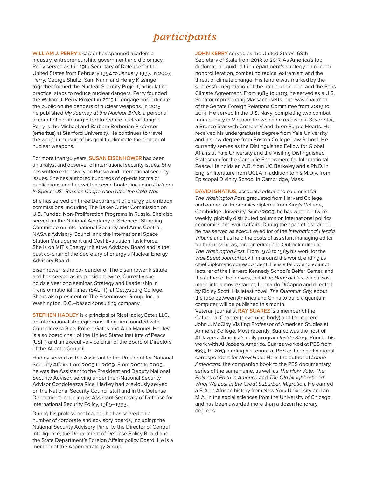### *participants*

**WILLIAM J. PERRY's** career has spanned academia, industry, entrepreneurship, government and diplomacy. Perry served as the 19th Secretary of Defense for the United States from February 1994 to January 1997. In 2007, Perry, George Shultz, Sam Nunn and Henry Kissinger together formed the Nuclear Security Project, articulating practical steps to reduce nuclear dangers. Perry founded the William J. Perry Project in 2013 to engage and educate the public on the dangers of nuclear weapons. In 2015 he published *My Journey at the Nuclear Brink,* a personal account of his lifelong effort to reduce nuclear danger. Perry is the Michael and Barbara Berberian Professor (emeritus) at Stanford University. He continues to travel the world in pursuit of his goal to eliminate the danger of nuclear weapons.

For more than 30 years, **SUSAN EISENHOWER** has been an analyst and observer of international security issues. She has written extensively on Russia and international security issues. She has authored hundreds of op-eds for major publications and has written seven books, including *Partners In Space: US–Russian Cooperation after the Cold War.*

She has served on three Department of Energy blue ribbon commissions, including The Baker-Cutler Commission on U.S. Funded Non-Proliferation Programs in Russia. She also served on the National Academy of Sciences' Standing Committee on International Security and Arms Control, NASA's Advisory Council and the International Space Station Management and Cost Evaluation Task Force. She is on MIT's Energy Initiative Advisory Board and is the past co-chair of the Secretary of Energy's Nuclear Energy Advisory Board.

Eisenhower is the co-founder of The Eisenhower Institute and has served as its president twice. Currently she holds a yearlong seminar, Strategy and Leadership in Transformational Times (SALTT), at Gettysburg College. She is also president of The Eisenhower Group, Inc., a Washington, D.C.–based consulting company.

**STEPHEN HADLEY** is a principal of RiceHadleyGates LLC, an international strategic consulting firm founded with Condoleezza Rice, Robert Gates and Anja Manuel. Hadley is also board chair of the United States Institute of Peace (USIP) and an executive vice chair of the Board of Directors of the Atlantic Council.

Hadley served as the Assistant to the President for National Security Affairs from 2005 to 2009. From 2001 to 2005, he was the Assistant to the President and Deputy National Security Advisor, serving under then-National Security Advisor Condoleezza Rice. Hadley had previously served on the National Security Council staff and in the Defense Department including as Assistant Secretary of Defense for International Security Policy, 1989–1993.

During his professional career, he has served on a number of corporate and advisory boards, including: the National Security Advisory Panel to the Director of Central Intelligence, the Department of Defense Policy Board and the State Department's Foreign Affairs policy Board. He is a member of the Aspen Strategy Group.

**JOHN KERRY** served as the United States' 68th Secretary of State from 2013 to 2017. As America's top diplomat, he guided the department's strategy on nuclear nonproliferation, combating radical extremism and the threat of climate change. His tenure was marked by the successful negotiation of the Iran nuclear deal and the Paris Climate Agreement. From 1985 to 2013, he served as a U.S. Senator representing Massachusetts, and was chairman of the Senate Foreign Relations Committee from 2009 to 2013. He served in the U.S. Navy, completing two combat tours of duty in Vietnam for which he received a Silver Star, a Bronze Star with Combat V and three Purple Hearts. He received his undergraduate degree from Yale University and his law degree from Boston College Law School. He currently serves as the Distinguished Fellow for Global Affairs at Yale University and the Visiting Distinguished Statesman for the Carnegie Endowment for International Peace. He holds an A.B. from UC Berkeley and a Ph.D. in English literature from UCLA in addition to his M.Div. from Episcopal Divinity School in Cambridge, Mass.

**DAVID IGNATIUS,** associate editor and columnist for *The Washington Post,* graduated from Harvard College and earned an Economics diploma from King's College, Cambridge University. Since 2003, he has written a twiceweekly, globally distributed column on international politics, economics and world affairs. During the span of his career, he has served as executive editor of the *International Herald Tribune* and has held the posts of assistant managing editor for business news, foreign editor and Outlook editor at *The Washington Post.* From 1976 to 1985 his work for the *Wall Street Journal* took him around the world, ending as chief diplomatic correspondent. He is a fellow and adjunct lecturer of the Harvard Kennedy School's Belfer Center, and the author of ten novels, including *Body of Lies,* which was made into a movie starring Leonardo DiCaprio and directed by Ridley Scott. His latest novel, *The Quantum Spy,* about the race between America and China to build a quantum computer, will be published this month.

Veteran journalist **RAY SUAREZ** is a member of the Cathedral Chapter (governing body) and the current John J. McCloy Visiting Professor of American Studies at Amherst College. Most recently, Suarez was the host of Al Jazeera America's daily program *Inside Story.* Prior to his work with Al Jazeera America, Suarez worked at PBS from 1999 to 2013, ending his tenure at PBS as the chief national correspondent for *NewsHour.* He is the author of *Latino Americans,* the companion book to the PBS documentary series of the same name, as well as *The Holy Vote: The Politics of Faith in America* and *The Old Neighborhood: What We Lost in the Great Suburban Migration.* He earned a B.A. in African history from New York University and an M.A. in the social sciences from the University of Chicago, and has been awarded more than a dozen honorary degrees.